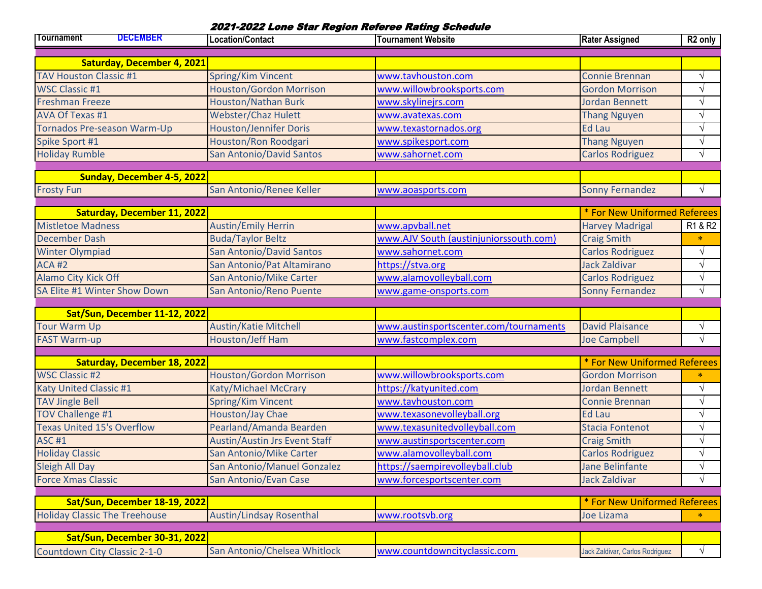## 2021-2022 Lone Star Region Referee Rating Schedule

| Tournament                           | <b>DECEMBER</b>                    | Location/Contact                     | <b>Tournament Website</b>              | <b>Rater Assigned</b>           | R <sub>2</sub> only |
|--------------------------------------|------------------------------------|--------------------------------------|----------------------------------------|---------------------------------|---------------------|
|                                      | <b>Saturday, December 4, 2021</b>  |                                      |                                        |                                 |                     |
| <b>TAV Houston Classic #1</b>        |                                    | Spring/Kim Vincent                   | www.tavhouston.com                     | <b>Connie Brennan</b>           | $\sqrt{}$           |
| <b>WSC Classic #1</b>                |                                    | <b>Houston/Gordon Morrison</b>       | www.willowbrooksports.com              | <b>Gordon Morrison</b>          | N                   |
| <b>Freshman Freeze</b>               |                                    | <b>Houston/Nathan Burk</b>           | www.skylinejrs.com                     | <b>Jordan Bennett</b>           | $\sqrt{ }$          |
| <b>AVA Of Texas #1</b>               |                                    | <b>Webster/Chaz Hulett</b>           | www.avatexas.com                       | <b>Thang Nguyen</b>             | $\sqrt{ }$          |
|                                      | Tornados Pre-season Warm-Up        | <b>Houston/Jennifer Doris</b>        | www.texastornados.org                  | <b>Ed Lau</b>                   | $\sqrt{ }$          |
| Spike Sport #1                       |                                    | Houston/Ron Roodgari                 | www.spikesport.com                     | <b>Thang Nguyen</b>             | $\sqrt{ }$          |
| <b>Holiday Rumble</b>                |                                    | <b>San Antonio/David Santos</b>      | www.sahornet.com                       | <b>Carlos Rodriguez</b>         | $\sqrt{ }$          |
|                                      |                                    |                                      |                                        |                                 |                     |
|                                      | <b>Sunday, December 4-5, 2022</b>  |                                      |                                        |                                 |                     |
| <b>Frosty Fun</b>                    |                                    | San Antonio/Renee Keller             | www.aoasports.com                      | <b>Sonny Fernandez</b>          | $\sqrt{ }$          |
|                                      | <b>Saturday, December 11, 2022</b> |                                      |                                        | * For New Uniformed Referees    |                     |
| <b>Mistletoe Madness</b>             |                                    | <b>Austin/Emily Herrin</b>           | www.apvball.net                        | <b>Harvey Madrigal</b>          | R1 & R2             |
| <b>December Dash</b>                 |                                    | <b>Buda/Taylor Beltz</b>             | www.AJV South (austinjuniorssouth.com) | <b>Craig Smith</b>              | $\ast$              |
| <b>Winter Olympiad</b>               |                                    | <b>San Antonio/David Santos</b>      | www.sahornet.com                       | <b>Carlos Rodriguez</b>         | V                   |
| <b>ACA #2</b>                        |                                    | San Antonio/Pat Altamirano           | https://stva.org                       | <b>Jack Zaldivar</b>            | $\sqrt{ }$          |
| Alamo City Kick Off                  |                                    | San Antonio/Mike Carter              | www.alamovolleyball.com                | <b>Carlos Rodriguez</b>         | $\sqrt{ }$          |
|                                      | SA Elite #1 Winter Show Down       | San Antonio/Reno Puente              | www.game-onsports.com                  | <b>Sonny Fernandez</b>          | $\sqrt{ }$          |
|                                      |                                    |                                      |                                        |                                 |                     |
|                                      | Sat/Sun, December 11-12, 2022      |                                      |                                        |                                 |                     |
| <b>Tour Warm Up</b>                  |                                    | <b>Austin/Katie Mitchell</b>         | www.austinsportscenter.com/tournaments | <b>David Plaisance</b>          | $\sqrt{ }$          |
| <b>FAST Warm-up</b>                  |                                    | <b>Houston/Jeff Ham</b>              | www.fastcomplex.com                    | <b>Joe Campbell</b>             | $\sqrt{ }$          |
|                                      |                                    |                                      |                                        |                                 |                     |
|                                      | <b>Saturday, December 18, 2022</b> |                                      |                                        | * For New Uniformed Referees    |                     |
| <b>WSC Classic #2</b>                |                                    | <b>Houston/Gordon Morrison</b>       | www.willowbrooksports.com              | <b>Gordon Morrison</b>          | $\ast$              |
| Katy United Classic #1               |                                    | Katy/Michael McCrary                 | https://katyunited.com                 | <b>Jordan Bennett</b>           | $\sqrt{}$           |
| <b>TAV Jingle Bell</b>               |                                    | Spring/Kim Vincent                   | www.tavhouston.com                     | <b>Connie Brennan</b>           | $\sqrt{ }$          |
| <b>TOV Challenge #1</b>              |                                    | Houston/Jay Chae                     | www.texasonevolleyball.org             | <b>Ed Lau</b>                   | $\sqrt{ }$          |
| <b>Texas United 15's Overflow</b>    |                                    | Pearland/Amanda Bearden              | www.texasunitedvolleyball.com          | <b>Stacia Fontenot</b>          | $\sqrt{}$           |
| <b>ASC #1</b>                        |                                    | <b>Austin/Austin Jrs Event Staff</b> | www.austinsportscenter.com             | <b>Craig Smith</b>              | $\sqrt{ }$          |
| <b>Holiday Classic</b>               |                                    | San Antonio/Mike Carter              | www.alamovolleyball.com                | <b>Carlos Rodriguez</b>         | $\sqrt{}$           |
| <b>Sleigh All Day</b>                |                                    | <b>San Antonio/Manuel Gonzalez</b>   | https://saempirevolleyball.club        | Jane Belinfante                 | V                   |
| <b>Force Xmas Classic</b>            |                                    | San Antonio/Evan Case                | www.forcesportscenter.com              | <b>Jack Zaldivar</b>            | $\sqrt{ }$          |
|                                      | Sat/Sun, December 18-19, 2022      |                                      |                                        | * For New Uniformed Referees    |                     |
| <b>Holiday Classic The Treehouse</b> |                                    | <b>Austin/Lindsay Rosenthal</b>      | www.rootsvb.org                        | <b>Joe Lizama</b>               | $\ast$              |
|                                      |                                    |                                      |                                        |                                 |                     |
|                                      | Sat/Sun, December 30-31, 2022      |                                      |                                        |                                 |                     |
| Countdown City Classic 2-1-0         |                                    | San Antonio/Chelsea Whitlock         | www.countdowncityclassic.com           | Jack Zaldivar, Carlos Rodriguez | $\sqrt{ }$          |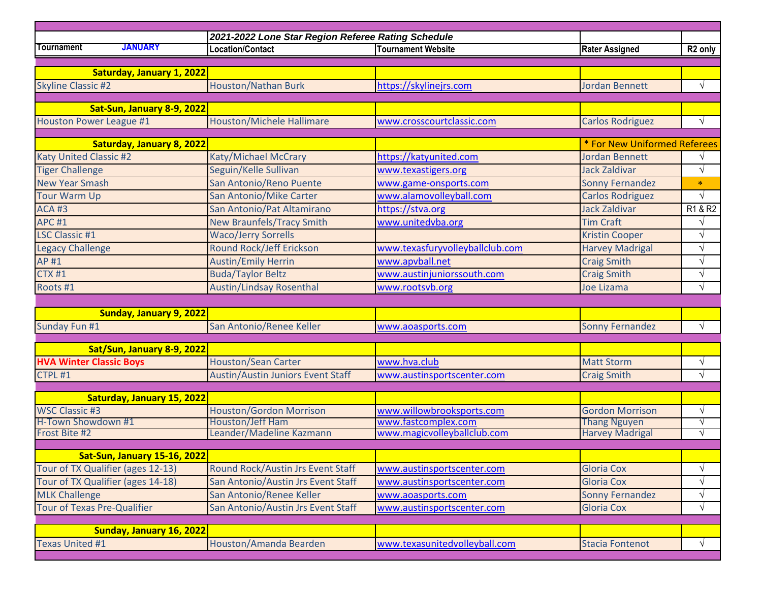| 2021-2022 Lone Star Region Referee Rating Schedule |                                          |                                                  |                              |                     |  |  |
|----------------------------------------------------|------------------------------------------|--------------------------------------------------|------------------------------|---------------------|--|--|
| <b>JANUARY</b><br>Tournament                       | <b>Location/Contact</b>                  | <b>Tournament Website</b>                        | <b>Rater Assigned</b>        | R <sub>2</sub> only |  |  |
|                                                    |                                          |                                                  |                              |                     |  |  |
| Saturday, January 1, 2022                          |                                          |                                                  |                              |                     |  |  |
| <b>Skyline Classic #2</b>                          | <b>Houston/Nathan Burk</b>               | https://skylinejrs.com                           | <b>Jordan Bennett</b>        | $\sqrt{ }$          |  |  |
|                                                    |                                          |                                                  |                              |                     |  |  |
| Sat-Sun, January 8-9, 2022                         |                                          |                                                  |                              |                     |  |  |
| Houston Power League #1                            | <b>Houston/Michele Hallimare</b>         | www.crosscourtclassic.com                        | <b>Carlos Rodriguez</b>      | V                   |  |  |
|                                                    |                                          |                                                  | * For New Uniformed Referees |                     |  |  |
| <b>Saturday, January 8, 2022</b>                   |                                          |                                                  | <b>Jordan Bennett</b>        |                     |  |  |
| <b>Katy United Classic #2</b>                      | Katy/Michael McCrary                     | https://katyunited.com                           | <b>Jack Zaldivar</b>         | $\sqrt{ }$          |  |  |
| <b>Tiger Challenge</b>                             | Seguin/Kelle Sullivan                    | www.texastigers.org                              |                              |                     |  |  |
| <b>New Year Smash</b>                              | San Antonio/Reno Puente                  | www.game-onsports.com                            | <b>Sonny Fernandez</b>       | $\ast$              |  |  |
| <b>Tour Warm Up</b>                                | San Antonio/Mike Carter                  | www.alamovolleyball.com                          | <b>Carlos Rodriguez</b>      |                     |  |  |
| <b>ACA#3</b>                                       | San Antonio/Pat Altamirano               | https://stva.org                                 | <b>Jack Zaldivar</b>         | R1 & R2             |  |  |
| <b>APC #1</b>                                      | <b>New Braunfels/Tracy Smith</b>         | www.unitedvba.org                                | <b>Tim Craft</b>             |                     |  |  |
| <b>LSC Classic #1</b>                              | <b>Waco/Jerry Sorrells</b>               |                                                  | <b>Kristin Cooper</b>        | $\sqrt{ }$          |  |  |
| <b>Legacy Challenge</b>                            | <b>Round Rock/Jeff Erickson</b>          | www.texasfuryvolleyballclub.com                  | <b>Harvey Madrigal</b>       | $\sqrt{ }$          |  |  |
| AP #1                                              | <b>Austin/Emily Herrin</b>               | www.apvball.net                                  | <b>Craig Smith</b>           | $\sqrt{ }$          |  |  |
| <b>CTX #1</b>                                      | <b>Buda/Taylor Beltz</b>                 | www.austinjuniorssouth.com                       | <b>Craig Smith</b>           | $\sqrt{}$           |  |  |
| Roots #1                                           | <b>Austin/Lindsay Rosenthal</b>          | www.rootsvb.org                                  | Joe Lizama                   | $\sqrt{ }$          |  |  |
|                                                    |                                          |                                                  |                              |                     |  |  |
| Sunday, January 9, 2022                            |                                          |                                                  |                              |                     |  |  |
| Sunday Fun #1                                      | San Antonio/Renee Keller                 | www.aoasports.com                                | <b>Sonny Fernandez</b>       | $\sqrt{ }$          |  |  |
|                                                    |                                          |                                                  |                              |                     |  |  |
| Sat/Sun, January 8-9, 2022                         |                                          |                                                  |                              |                     |  |  |
| <b>HVA Winter Classic Boys</b>                     | <b>Houston/Sean Carter</b>               | www.hva.club                                     | <b>Matt Storm</b>            | $\sqrt{ }$          |  |  |
| CTPL#1                                             | <b>Austin/Austin Juniors Event Staff</b> | www.austinsportscenter.com                       | <b>Craig Smith</b>           | $\sqrt{ }$          |  |  |
| Saturday, January 15, 2022                         |                                          |                                                  |                              |                     |  |  |
| <b>WSC Classic #3</b>                              | <b>Houston/Gordon Morrison</b>           |                                                  | <b>Gordon Morrison</b>       | $\sqrt{ }$          |  |  |
| H-Town Showdown #1                                 | Houston/Jeff Ham                         | www.willowbrooksports.com<br>www.fastcomplex.com | <b>Thang Nguyen</b>          | V                   |  |  |
| Frost Bite #2                                      | Leander/Madeline Kazmann                 | www.magicvolleyballclub.com                      | <b>Harvey Madrigal</b>       | V                   |  |  |
|                                                    |                                          |                                                  |                              |                     |  |  |
| <b>Sat-Sun, January 15-16, 2022</b>                |                                          |                                                  |                              |                     |  |  |
| Tour of TX Qualifier (ages 12-13)                  | Round Rock/Austin Jrs Event Staff        | www.austinsportscenter.com                       | <b>Gloria Cox</b>            | $\sqrt{}$           |  |  |
| Tour of TX Qualifier (ages 14-18)                  | San Antonio/Austin Jrs Event Staff       | www.austinsportscenter.com                       | <b>Gloria Cox</b>            | $\sqrt{}$           |  |  |
| <b>MLK Challenge</b>                               | San Antonio/Renee Keller                 | www.aoasports.com                                | <b>Sonny Fernandez</b>       | $\sqrt{ }$          |  |  |
| <b>Tour of Texas Pre-Qualifier</b>                 | San Antonio/Austin Jrs Event Staff       | www.austinsportscenter.com                       | <b>Gloria Cox</b>            | $\sqrt{}$           |  |  |
|                                                    |                                          |                                                  |                              |                     |  |  |
| Sunday, January 16, 2022                           |                                          |                                                  |                              |                     |  |  |
| <b>Texas United #1</b>                             | Houston/Amanda Bearden                   | www.texasunitedvolleyball.com                    | <b>Stacia Fontenot</b>       | V                   |  |  |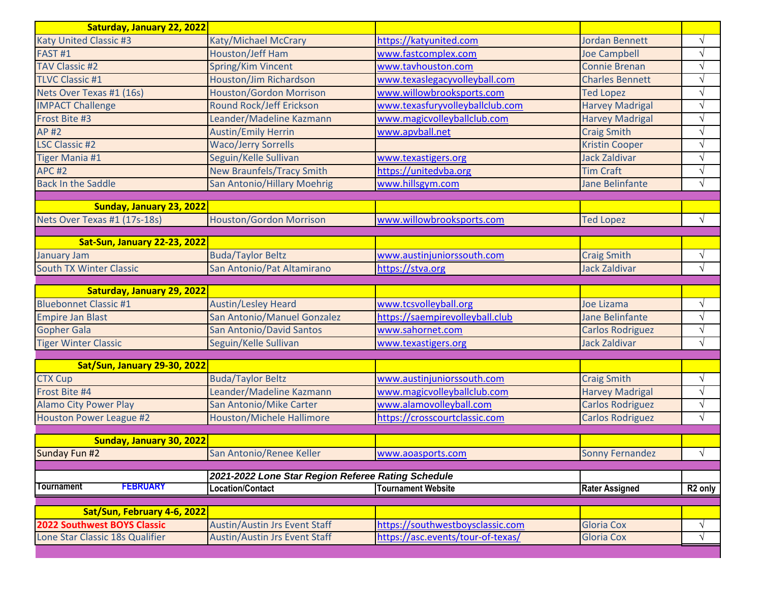| Saturday, January 22, 2022           |                                                                               |                                   |                         |                     |
|--------------------------------------|-------------------------------------------------------------------------------|-----------------------------------|-------------------------|---------------------|
| <b>Katy United Classic #3</b>        | Katy/Michael McCrary                                                          | https://katyunited.com            | <b>Jordan Bennett</b>   | $\sqrt{ }$          |
| FAST <sub>#1</sub>                   | Houston/Jeff Ham                                                              | www.fastcomplex.com               | <b>Joe Campbell</b>     | $\sqrt{ }$          |
| <b>TAV Classic #2</b>                | Spring/Kim Vincent                                                            | www.tavhouston.com                | <b>Connie Brenan</b>    | $\sqrt{ }$          |
| <b>TLVC Classic #1</b>               | Houston/Jim Richardson                                                        | www.texaslegacyvolleyball.com     | <b>Charles Bennett</b>  | $\sqrt{}$           |
| Nets Over Texas #1 (16s)             | <b>Houston/Gordon Morrison</b>                                                | www.willowbrooksports.com         | <b>Ted Lopez</b>        | $\sqrt{ }$          |
| <b>IMPACT Challenge</b>              | <b>Round Rock/Jeff Erickson</b>                                               | www.texasfuryvolleyballclub.com   | <b>Harvey Madrigal</b>  | $\sqrt{ }$          |
| Frost Bite #3                        | Leander/Madeline Kazmann                                                      | www.magicvolleyballclub.com       | <b>Harvey Madrigal</b>  | $\sqrt{ }$          |
| <b>AP#2</b>                          | <b>Austin/Emily Herrin</b>                                                    | www.apvball.net                   | <b>Craig Smith</b>      | $\sqrt{}$           |
| <b>LSC Classic #2</b>                | <b>Waco/Jerry Sorrells</b>                                                    |                                   | <b>Kristin Cooper</b>   | $\sqrt{ }$          |
| <b>Tiger Mania #1</b>                | Seguin/Kelle Sullivan                                                         | www.texastigers.org               | <b>Jack Zaldivar</b>    | $\sqrt{ }$          |
| <b>APC #2</b>                        | <b>New Braunfels/Tracy Smith</b>                                              | https://unitedvba.org             | <b>Tim Craft</b>        | $\sqrt{ }$          |
| <b>Back In the Saddle</b>            | San Antonio/Hillary Moehrig                                                   | www.hillsgym.com                  | <b>Jane Belinfante</b>  | $\sqrt{ }$          |
| Sunday, January 23, 2022             |                                                                               |                                   |                         |                     |
| Nets Over Texas #1 (17s-18s)         | Houston/Gordon Morrison                                                       | www.willowbrooksports.com         | <b>Ted Lopez</b>        | $\sqrt{ }$          |
|                                      |                                                                               |                                   |                         |                     |
| <b>Sat-Sun, January 22-23, 2022</b>  |                                                                               |                                   |                         |                     |
| <b>January Jam</b>                   | <b>Buda/Taylor Beltz</b>                                                      | www.austinjuniorssouth.com        | <b>Craig Smith</b>      | $\sqrt{ }$          |
| <b>South TX Winter Classic</b>       | San Antonio/Pat Altamirano                                                    | https://stva.org                  | <b>Jack Zaldivar</b>    | $\sqrt{ }$          |
|                                      |                                                                               |                                   |                         |                     |
| Saturday, January 29, 2022           |                                                                               |                                   |                         |                     |
| <b>Bluebonnet Classic #1</b>         | <b>Austin/Lesley Heard</b>                                                    | www.tcsvolleyball.org             | Joe Lizama              | $\sqrt{ }$          |
| <b>Empire Jan Blast</b>              | San Antonio/Manuel Gonzalez                                                   | https://saempirevolleyball.club   | <b>Jane Belinfante</b>  | $\sqrt{}$           |
| <b>Gopher Gala</b>                   | <b>San Antonio/David Santos</b>                                               | www.sahornet.com                  | <b>Carlos Rodriguez</b> | $\sqrt{ }$          |
| <b>Tiger Winter Classic</b>          | Seguin/Kelle Sullivan                                                         | www.texastigers.org               | <b>Jack Zaldivar</b>    | $\sqrt{ }$          |
| <b>Sat/Sun, January 29-30, 2022</b>  |                                                                               |                                   |                         |                     |
| <b>CTX Cup</b>                       | <b>Buda/Taylor Beltz</b>                                                      | www.austinjuniorssouth.com        | <b>Craig Smith</b>      | $\sqrt{}$           |
| Frost Bite #4                        | Leander/Madeline Kazmann                                                      | www.magicvolleyballclub.com       | <b>Harvey Madrigal</b>  | $\sqrt{}$           |
| <b>Alamo City Power Play</b>         | San Antonio/Mike Carter                                                       | www.alamovolleyball.com           | <b>Carlos Rodriguez</b> | $\sqrt{ }$          |
| <b>Houston Power League #2</b>       | <b>Houston/Michele Hallimore</b>                                              | https://crosscourtclassic.com     | <b>Carlos Rodriguez</b> | $\sqrt{ }$          |
|                                      |                                                                               |                                   |                         |                     |
| Sunday, January 30, 2022             |                                                                               |                                   |                         |                     |
| Sunday Fun #2                        | San Antonio/Renee Keller                                                      | www.aoasports.com                 | <b>Sonny Fernandez</b>  | $\sqrt{}$           |
|                                      |                                                                               |                                   |                         |                     |
| <b>FEBRUARY</b><br><b>Tournament</b> | 2021-2022 Lone Star Region Referee Rating Schedule<br><b>Location/Contact</b> | <b>Tournament Website</b>         |                         |                     |
|                                      |                                                                               |                                   | <b>Rater Assigned</b>   | R <sub>2</sub> only |
| Sat/Sun, February 4-6, 2022          |                                                                               |                                   |                         |                     |
| <b>2022 Southwest BOYS Classic</b>   | <b>Austin/Austin Jrs Event Staff</b>                                          | https://southwestboysclassic.com  | <b>Gloria Cox</b>       | $\sqrt{ }$          |
| Lone Star Classic 18s Qualifier      | <b>Austin/Austin Jrs Event Staff</b>                                          | https://asc.events/tour-of-texas/ | <b>Gloria Cox</b>       | $\sqrt{}$           |
|                                      |                                                                               |                                   |                         |                     |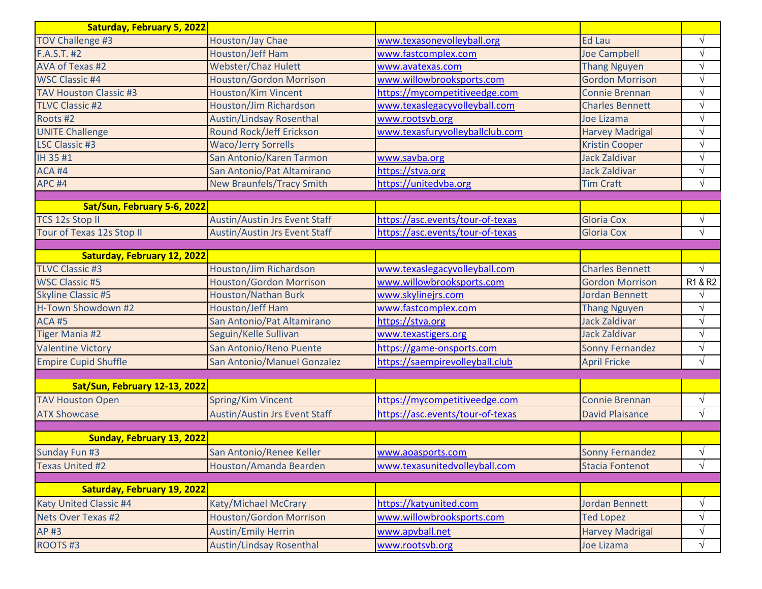| <b>Saturday, February 5, 2022</b> |                                      |                                  |                        |            |
|-----------------------------------|--------------------------------------|----------------------------------|------------------------|------------|
| TOV Challenge #3                  | Houston/Jay Chae                     | www.texasonevolleyball.org       | <b>Ed Lau</b>          | $\sqrt{}$  |
| F.A.S.T. #2                       | <b>Houston/Jeff Ham</b>              | www.fastcomplex.com              | <b>Joe Campbell</b>    | $\sqrt{}$  |
| AVA of Texas #2                   | <b>Webster/Chaz Hulett</b>           | www.avatexas.com                 | <b>Thang Nguyen</b>    | $\sqrt{ }$ |
| <b>WSC Classic #4</b>             | <b>Houston/Gordon Morrison</b>       | www.willowbrooksports.com        | <b>Gordon Morrison</b> | $\sqrt{}$  |
| <b>TAV Houston Classic #3</b>     | <b>Houston/Kim Vincent</b>           | https://mycompetitiveedge.com    | <b>Connie Brennan</b>  | $\sqrt{ }$ |
| <b>TLVC Classic #2</b>            | Houston/Jim Richardson               | www.texaslegacyvolleyball.com    | <b>Charles Bennett</b> | $\sqrt{}$  |
| Roots #2                          | <b>Austin/Lindsay Rosenthal</b>      | www.rootsvb.org                  | Joe Lizama             | $\sqrt{ }$ |
| <b>UNITE Challenge</b>            | Round Rock/Jeff Erickson             | www.texasfuryvolleyballclub.com  | <b>Harvey Madrigal</b> | $\sqrt{ }$ |
| <b>LSC Classic #3</b>             | <b>Waco/Jerry Sorrells</b>           |                                  | <b>Kristin Cooper</b>  | $\sqrt{ }$ |
| IH 35 #1                          | San Antonio/Karen Tarmon             | www.savba.org                    | <b>Jack Zaldivar</b>   | $\sqrt{ }$ |
| ACA #4                            | San Antonio/Pat Altamirano           | https://stva.org                 | <b>Jack Zaldivar</b>   | $\sqrt{}$  |
| <b>APC #4</b>                     | <b>New Braunfels/Tracy Smith</b>     | https://unitedvba.org            | <b>Tim Craft</b>       | $\sqrt{ }$ |
| Sat/Sun, February 5-6, 2022       |                                      |                                  |                        |            |
| <b>TCS 12s Stop II</b>            | <b>Austin/Austin Jrs Event Staff</b> | https://asc.events/tour-of-texas | <b>Gloria Cox</b>      | $\sqrt{}$  |
| Tour of Texas 12s Stop II         | <b>Austin/Austin Jrs Event Staff</b> | https://asc.events/tour-of-texas | <b>Gloria Cox</b>      | $\sqrt{ }$ |
|                                   |                                      |                                  |                        |            |
| Saturday, February 12, 2022       |                                      |                                  |                        |            |
| <b>TLVC Classic #3</b>            | Houston/Jim Richardson               | www.texaslegacyvolleyball.com    | <b>Charles Bennett</b> | $\sqrt{ }$ |
| <b>WSC Classic #5</b>             | <b>Houston/Gordon Morrison</b>       | www.willowbrooksports.com        | <b>Gordon Morrison</b> | R1 & R2    |
| <b>Skyline Classic #5</b>         | <b>Houston/Nathan Burk</b>           | www.skylinejrs.com               | <b>Jordan Bennett</b>  | $\sqrt{}$  |
| H-Town Showdown #2                | <b>Houston/Jeff Ham</b>              | www.fastcomplex.com              | <b>Thang Nguyen</b>    | $\sqrt{ }$ |
| <b>ACA#5</b>                      | San Antonio/Pat Altamirano           | https://stva.org                 | <b>Jack Zaldivar</b>   | $\sqrt{}$  |
| <b>Tiger Mania #2</b>             | Seguin/Kelle Sullivan                | www.texastigers.org              | Jack Zaldivar          | $\sqrt{ }$ |
| <b>Valentine Victory</b>          | San Antonio/Reno Puente              | https://game-onsports.com        | <b>Sonny Fernandez</b> | $\sqrt{}$  |
| <b>Empire Cupid Shuffle</b>       | San Antonio/Manuel Gonzalez          | https://saempirevolleyball.club  | <b>April Fricke</b>    | $\sqrt{ }$ |
|                                   |                                      |                                  |                        |            |
| Sat/Sun, February 12-13, 2022     |                                      |                                  |                        |            |
| <b>TAV Houston Open</b>           | Spring/Kim Vincent                   | https://mycompetitiveedge.com    | <b>Connie Brennan</b>  | $\sqrt{}$  |
| <b>ATX Showcase</b>               | <b>Austin/Austin Jrs Event Staff</b> | https://asc.events/tour-of-texas | <b>David Plaisance</b> | $\sqrt{ }$ |
| Sunday, February 13, 2022         |                                      |                                  |                        |            |
| Sunday Fun #3                     | San Antonio/Renee Keller             | www.aoasports.com                | Sonny Fernandez        | V          |
| <b>Texas United #2</b>            | Houston/Amanda Bearden               | www.texasunitedvolleyball.com    | <b>Stacia Fontenot</b> | $\sqrt{ }$ |
|                                   |                                      |                                  |                        |            |
| Saturday, February 19, 2022       |                                      |                                  |                        |            |
| <b>Katy United Classic #4</b>     | Katy/Michael McCrary                 | https://katyunited.com           | <b>Jordan Bennett</b>  | $\sqrt{}$  |
| Nets Over Texas #2                | <b>Houston/Gordon Morrison</b>       | www.willowbrooksports.com        | <b>Ted Lopez</b>       | V          |
| AP #3                             | <b>Austin/Emily Herrin</b>           | www.apvball.net                  | <b>Harvey Madrigal</b> | V          |
| ROOTS#3                           | <b>Austin/Lindsay Rosenthal</b>      | www.rootsvb.org                  | Joe Lizama             | $\sqrt{}$  |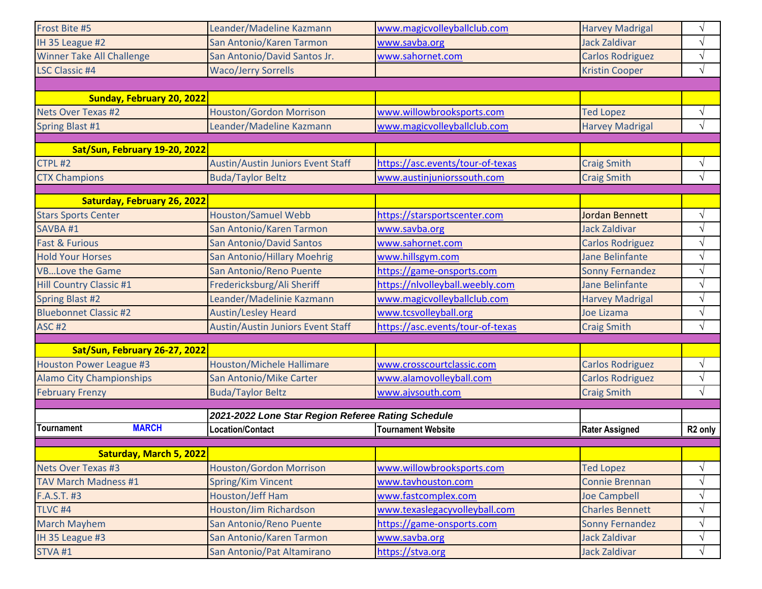| STVA#1                             | San Antonio/Pat Altamirano                         | https://stva.org                 | <b>Jack Zaldivar</b>    | $\sqrt{}$           |
|------------------------------------|----------------------------------------------------|----------------------------------|-------------------------|---------------------|
| IH 35 League #3                    | San Antonio/Karen Tarmon                           | www.savba.org                    | <b>Jack Zaldivar</b>    | $\sqrt{}$           |
| <b>March Mayhem</b>                | San Antonio/Reno Puente                            | https://game-onsports.com        | <b>Sonny Fernandez</b>  | V                   |
| TLVC <sub>#4</sub>                 | Houston/Jim Richardson                             | www.texaslegacyvolleyball.com    | <b>Charles Bennett</b>  | $\sqrt{}$           |
| F.A.S.T. #3                        | Houston/Jeff Ham                                   | www.fastcomplex.com              | <b>Joe Campbell</b>     | V                   |
| <b>TAV March Madness #1</b>        | Spring/Kim Vincent                                 | www.tavhouston.com               | <b>Connie Brennan</b>   | $\sqrt{}$           |
| <b>Nets Over Texas #3</b>          | <b>Houston/Gordon Morrison</b>                     | www.willowbrooksports.com        | <b>Ted Lopez</b>        | $\sqrt{}$           |
| <b>Saturday, March 5, 2022</b>     |                                                    |                                  |                         |                     |
|                                    |                                                    |                                  |                         |                     |
| <b>MARCH</b><br>Tournament         | <b>Location/Contact</b>                            | <b>Tournament Website</b>        | <b>Rater Assigned</b>   | R <sub>2</sub> only |
|                                    | 2021-2022 Lone Star Region Referee Rating Schedule |                                  |                         |                     |
| <b>February Frenzy</b>             | <b>Buda/Taylor Beltz</b>                           | www.ajvsouth.com                 | <b>Craig Smith</b>      |                     |
| <b>Alamo City Championships</b>    | San Antonio/Mike Carter                            | www.alamovolleyball.com          | <b>Carlos Rodriguez</b> | $\sqrt{ }$          |
| <b>Houston Power League #3</b>     |                                                    |                                  | <b>Carlos Rodriguez</b> | $\sqrt{ }$          |
| Sat/Sun, February 26-27, 2022      | <b>Houston/Michele Hallimare</b>                   | www.crosscourtclassic.com        |                         | $\sqrt{}$           |
|                                    |                                                    |                                  |                         |                     |
| <b>ASC #2</b>                      | <b>Austin/Austin Juniors Event Staff</b>           | https://asc.events/tour-of-texas | <b>Craig Smith</b>      | V                   |
| <b>Bluebonnet Classic #2</b>       | <b>Austin/Lesley Heard</b>                         | www.tcsvolleyball.org            | Joe Lizama              | $\sqrt{}$           |
| <b>Spring Blast #2</b>             | Leander/Madelinie Kazmann                          | www.magicvolleyballclub.com      | <b>Harvey Madrigal</b>  | $\sqrt{}$           |
| <b>Hill Country Classic #1</b>     | Fredericksburg/Ali Sheriff                         | https://nlvolleyball.weebly.com  | <b>Jane Belinfante</b>  | $\sqrt{}$           |
| <b>VBLove the Game</b>             | San Antonio/Reno Puente                            | https://game-onsports.com        | <b>Sonny Fernandez</b>  | N                   |
| <b>Hold Your Horses</b>            | <b>San Antonio/Hillary Moehrig</b>                 | www.hillsgym.com                 | <b>Jane Belinfante</b>  | N                   |
| <b>Fast &amp; Furious</b>          | <b>San Antonio/David Santos</b>                    | www.sahornet.com                 | <b>Carlos Rodriguez</b> | $\sqrt{}$           |
| SAVBA #1                           | San Antonio/Karen Tarmon                           | www.savba.org                    | <b>Jack Zaldivar</b>    | $\sqrt{}$           |
| <b>Stars Sports Center</b>         | <b>Houston/Samuel Webb</b>                         | https://starsportscenter.com     | <b>Jordan Bennett</b>   | $\sqrt{}$           |
| <b>Saturday, February 26, 2022</b> |                                                    |                                  |                         |                     |
|                                    |                                                    |                                  |                         |                     |
| <b>CTX Champions</b>               | <b>Buda/Taylor Beltz</b>                           | www.austinjuniorssouth.com       | <b>Craig Smith</b>      | V                   |
| CTPL#2                             | <b>Austin/Austin Juniors Event Staff</b>           | https://asc.events/tour-of-texas | <b>Craig Smith</b>      | $\sqrt{ }$          |
| Sat/Sun, February 19-20, 2022      |                                                    |                                  |                         |                     |
| Spring Blast #1                    | Leander/Madeline Kazmann                           | www.magicvolleyballclub.com      | <b>Harvey Madrigal</b>  | V                   |
| <b>Nets Over Texas #2</b>          | <b>Houston/Gordon Morrison</b>                     | www.willowbrooksports.com        | <b>Ted Lopez</b>        | $\sqrt{}$           |
| <b>Sunday, February 20, 2022</b>   |                                                    |                                  |                         |                     |
|                                    |                                                    |                                  |                         |                     |
| <b>LSC Classic #4</b>              | <b>Waco/Jerry Sorrells</b>                         |                                  | <b>Kristin Cooper</b>   | $\sqrt{}$           |
| <b>Winner Take All Challenge</b>   | San Antonio/David Santos Jr.                       | www.sahornet.com                 | <b>Carlos Rodriguez</b> | V                   |
| IH 35 League #2                    | San Antonio/Karen Tarmon                           | www.savba.org                    | <b>Jack Zaldivar</b>    | $\sqrt{}$           |
| Frost Bite #5                      | Leander/Madeline Kazmann                           | www.magicvolleyballclub.com      | <b>Harvey Madrigal</b>  | N                   |
|                                    |                                                    |                                  |                         |                     |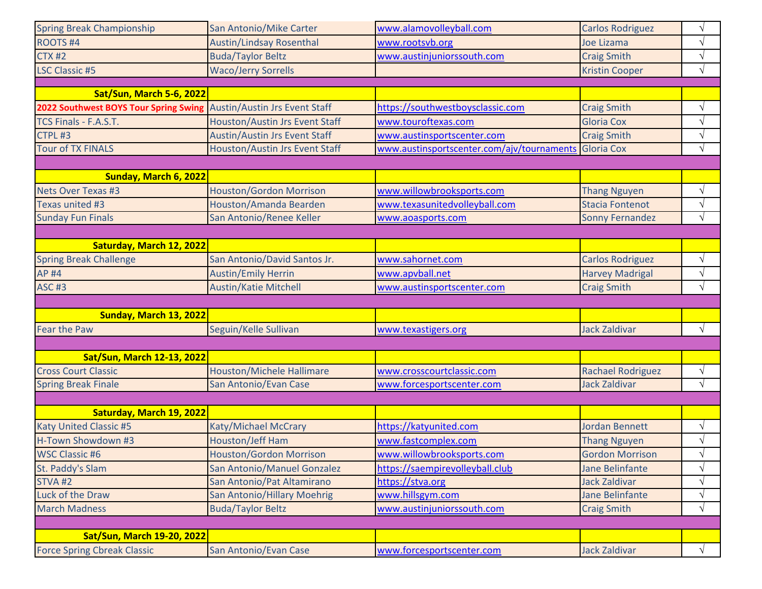| <b>Spring Break Championship</b>                                                                                             | San Antonio/Mike Carter              | www.alamovolleyball.com                               | <b>Carlos Rodriguez</b>  | $\sqrt{ }$              |
|------------------------------------------------------------------------------------------------------------------------------|--------------------------------------|-------------------------------------------------------|--------------------------|-------------------------|
| <b>ROOTS#4</b>                                                                                                               | <b>Austin/Lindsay Rosenthal</b>      | www.rootsvb.org                                       | Joe Lizama               | $\sqrt{ }$              |
| <b>CTX #2</b>                                                                                                                | <b>Buda/Taylor Beltz</b>             | www.austinjuniorssouth.com                            | <b>Craig Smith</b>       | $\sqrt{ }$              |
| <b>LSC Classic #5</b>                                                                                                        | <b>Waco/Jerry Sorrells</b>           |                                                       | <b>Kristin Cooper</b>    | $\sqrt{ }$              |
|                                                                                                                              |                                      |                                                       |                          |                         |
| <b>Sat/Sun, March 5-6, 2022</b>                                                                                              |                                      |                                                       |                          |                         |
| 2022 Southwest BOYS Tour Spring Swing Austin/Austin Jrs Event Staff                                                          |                                      | https://southwestboysclassic.com                      | <b>Craig Smith</b>       | $\sqrt{ }$              |
| TCS Finals - F.A.S.T.                                                                                                        | Houston/Austin Jrs Event Staff       | www.touroftexas.com                                   | <b>Gloria Cox</b>        | V                       |
| CTPL#3                                                                                                                       | <b>Austin/Austin Jrs Event Staff</b> | www.austinsportscenter.com                            | <b>Craig Smith</b>       | $\sqrt{ }$              |
| <b>Tour of TX FINALS</b>                                                                                                     | Houston/Austin Jrs Event Staff       | www.austinsportscenter.com/ajv/tournaments Gloria Cox |                          | $\sqrt{ }$              |
|                                                                                                                              |                                      |                                                       |                          |                         |
| Sunday, March 6, 2022                                                                                                        |                                      |                                                       |                          |                         |
| <b>Nets Over Texas #3</b>                                                                                                    | <b>Houston/Gordon Morrison</b>       | www.willowbrooksports.com                             | <b>Thang Nguyen</b>      | $\sqrt{ }$              |
| Texas united #3                                                                                                              | Houston/Amanda Bearden               | www.texasunitedvolleyball.com                         | <b>Stacia Fontenot</b>   | $\sqrt{ }$              |
| <b>Sunday Fun Finals</b>                                                                                                     | San Antonio/Renee Keller             | www.aoasports.com                                     | <b>Sonny Fernandez</b>   | $\sqrt{ }$              |
|                                                                                                                              |                                      |                                                       |                          |                         |
| Saturday, March 12, 2022                                                                                                     |                                      |                                                       |                          |                         |
| <b>Spring Break Challenge</b>                                                                                                | San Antonio/David Santos Jr.         | www.sahornet.com                                      | <b>Carlos Rodriguez</b>  | $\sqrt{ }$              |
| <b>AP#4</b>                                                                                                                  | <b>Austin/Emily Herrin</b>           | www.apvball.net                                       | <b>Harvey Madrigal</b>   |                         |
| <b>ASC #3</b>                                                                                                                | <b>Austin/Katie Mitchell</b>         | www.austinsportscenter.com                            | <b>Craig Smith</b>       | $\sqrt{ }$              |
|                                                                                                                              |                                      |                                                       |                          |                         |
| Sunday, March 13, 2022                                                                                                       |                                      |                                                       |                          |                         |
| <b>Fear the Paw</b>                                                                                                          | Seguin/Kelle Sullivan                | www.texastigers.org                                   | <b>Jack Zaldivar</b>     | $\sqrt{ }$              |
|                                                                                                                              |                                      |                                                       |                          |                         |
| <b>Sat/Sun, March 12-13, 2022</b>                                                                                            |                                      |                                                       |                          |                         |
| <b>Cross Court Classic</b>                                                                                                   | <b>Houston/Michele Hallimare</b>     | www.crosscourtclassic.com                             |                          |                         |
| <b>Spring Break Finale</b>                                                                                                   |                                      |                                                       |                          |                         |
|                                                                                                                              |                                      |                                                       | <b>Rachael Rodriguez</b> | $\sqrt{}$<br>$\sqrt{ }$ |
|                                                                                                                              | San Antonio/Evan Case                | www.forcesportscenter.com                             | <b>Jack Zaldivar</b>     |                         |
|                                                                                                                              |                                      |                                                       |                          |                         |
| Saturday, March 19, 2022                                                                                                     |                                      |                                                       |                          |                         |
|                                                                                                                              | Katy/Michael McCrary                 | https://katyunited.com                                | <b>Jordan Bennett</b>    | $\sqrt{ }$              |
| <b>Katy United Classic #5</b><br>H-Town Showdown #3                                                                          | Houston/Jeff Ham                     | www.fastcomplex.com                                   | <b>Thang Nguyen</b>      | $\sqrt{ }$              |
|                                                                                                                              | <b>Houston/Gordon Morrison</b>       | www.willowbrooksports.com                             | Gordon Morrison          | ٦                       |
|                                                                                                                              | San Antonio/Manuel Gonzalez          | https://saempirevolleyball.club                       | <b>Jane Belinfante</b>   | $\sqrt{ }$              |
|                                                                                                                              | San Antonio/Pat Altamirano           | https://stva.org                                      | Jack Zaldivar            | $\sqrt{ }$              |
| Luck of the Draw                                                                                                             | San Antonio/Hillary Moehrig          | www.hillsgym.com                                      | <b>Jane Belinfante</b>   | V                       |
|                                                                                                                              | <b>Buda/Taylor Beltz</b>             | www.austinjuniorssouth.com                            | <b>Craig Smith</b>       | $\sqrt{ }$              |
| <b>WSC Classic #6</b><br>St. Paddy's Slam<br>STVA <sub>#2</sub><br><b>March Madness</b><br><b>Sat/Sun, March 19-20, 2022</b> |                                      |                                                       |                          |                         |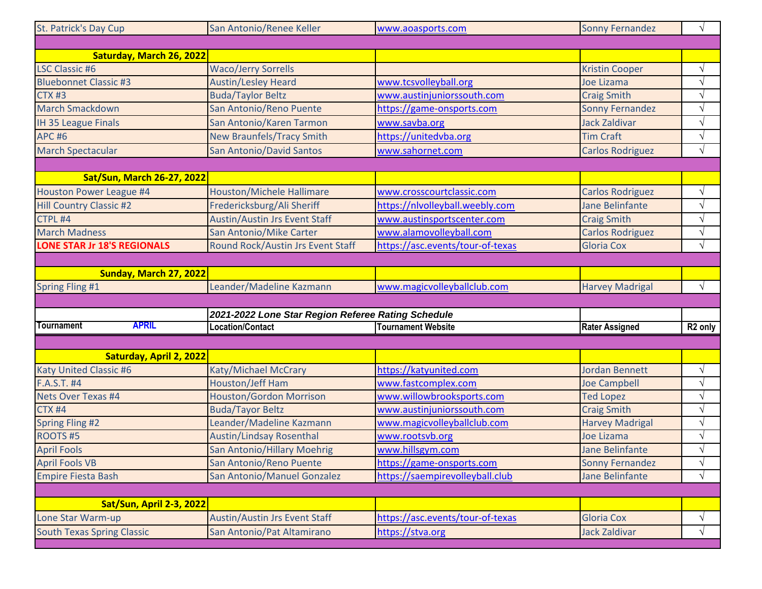| St. Patrick's Day Cup              | San Antonio/Renee Keller                           | www.aoasports.com                | <b>Sonny Fernandez</b>  | $\sqrt{ }$          |
|------------------------------------|----------------------------------------------------|----------------------------------|-------------------------|---------------------|
|                                    |                                                    |                                  |                         |                     |
| Saturday, March 26, 2022           |                                                    |                                  |                         |                     |
| <b>LSC Classic #6</b>              | <b>Waco/Jerry Sorrells</b>                         |                                  | <b>Kristin Cooper</b>   | $\sqrt{}$           |
| <b>Bluebonnet Classic #3</b>       | <b>Austin/Lesley Heard</b>                         | www.tcsvolleyball.org            | <b>Joe Lizama</b>       | $\sqrt{ }$          |
| <b>CTX #3</b>                      | <b>Buda/Taylor Beltz</b>                           | www.austinjuniorssouth.com       | <b>Craig Smith</b>      | $\sqrt{ }$          |
| <b>March Smackdown</b>             | San Antonio/Reno Puente                            | https://game-onsports.com        | <b>Sonny Fernandez</b>  | $\sqrt{ }$          |
| <b>IH 35 League Finals</b>         | San Antonio/Karen Tarmon                           | www.savba.org                    | <b>Jack Zaldivar</b>    | $\sqrt{ }$          |
| <b>APC #6</b>                      | <b>New Braunfels/Tracy Smith</b>                   | https://unitedvba.org            | <b>Tim Craft</b>        | $\sqrt{ }$          |
| <b>March Spectacular</b>           | <b>San Antonio/David Santos</b>                    | www.sahornet.com                 | <b>Carlos Rodriguez</b> | $\sqrt{ }$          |
|                                    |                                                    |                                  |                         |                     |
| <b>Sat/Sun, March 26-27, 2022</b>  |                                                    |                                  |                         |                     |
| Houston Power League #4            | <b>Houston/Michele Hallimare</b>                   | www.crosscourtclassic.com        | <b>Carlos Rodriguez</b> | $\sqrt{ }$          |
| <b>Hill Country Classic #2</b>     | Fredericksburg/Ali Sheriff                         | https://nlvolleyball.weebly.com  | <b>Jane Belinfante</b>  | $\sqrt{ }$          |
| CTPL #4                            | <b>Austin/Austin Jrs Event Staff</b>               | www.austinsportscenter.com       | <b>Craig Smith</b>      | $\sqrt{ }$          |
| <b>March Madness</b>               | San Antonio/Mike Carter                            | www.alamovolleyball.com          | <b>Carlos Rodriguez</b> | $\sqrt{ }$          |
| <b>LONE STAR Jr 18'S REGIONALS</b> | Round Rock/Austin Jrs Event Staff                  | https://asc.events/tour-of-texas | <b>Gloria Cox</b>       | $\sqrt{ }$          |
|                                    |                                                    |                                  |                         |                     |
| Sunday, March 27, 2022             |                                                    |                                  |                         |                     |
| <b>Spring Fling #1</b>             | Leander/Madeline Kazmann                           | www.magicvolleyballclub.com      | <b>Harvey Madrigal</b>  | $\sqrt{ }$          |
|                                    |                                                    |                                  |                         |                     |
|                                    | 2021-2022 Lone Star Region Referee Rating Schedule |                                  |                         |                     |
| <b>Tournament</b><br><b>APRIL</b>  | <b>Location/Contact</b>                            | <b>Tournament Website</b>        | <b>Rater Assigned</b>   | R <sub>2</sub> only |
|                                    |                                                    |                                  |                         |                     |
| Saturday, April 2, 2022            |                                                    |                                  |                         |                     |
| <b>Katy United Classic #6</b>      | Katy/Michael McCrary                               | https://katyunited.com           | <b>Jordan Bennett</b>   | $\sqrt{ }$          |
| F.A.S.T. #4                        | Houston/Jeff Ham                                   | www.fastcomplex.com              | <b>Joe Campbell</b>     | $\sqrt{ }$          |
| Nets Over Texas #4                 | <b>Houston/Gordon Morrison</b>                     | www.willowbrooksports.com        | <b>Ted Lopez</b>        | $\sqrt{ }$          |
| <b>CTX #4</b>                      | <b>Buda/Tayor Beltz</b>                            | www.austinjuniorssouth.com       | <b>Craig Smith</b>      | $\sqrt{}$           |
| <b>Spring Fling #2</b>             | Leander/Madeline Kazmann                           | www.magicvolleyballclub.com      | <b>Harvey Madrigal</b>  | $\sqrt{ }$          |
| <b>ROOTS#5</b>                     | <b>Austin/Lindsay Rosenthal</b>                    | www.rootsvb.org                  | Joe Lizama              | $\sqrt{ }$          |
| <b>April Fools</b>                 | San Antonio/Hillary Moehrig                        | www.hillsgym.com                 | Jane Belinfante         | $\sqrt{ }$          |
| <b>April Fools VB</b>              | San Antonio/Reno Puente                            | https://game-onsports.com        | <b>Sonny Fernandez</b>  | $\sqrt{ }$          |
| <b>Empire Fiesta Bash</b>          | San Antonio/Manuel Gonzalez                        | https://saempirevolleyball.club  | <b>Jane Belinfante</b>  | $\sqrt{}$           |
|                                    |                                                    |                                  |                         |                     |
| <b>Sat/Sun, April 2-3, 2022</b>    |                                                    |                                  |                         |                     |
| Lone Star Warm-up                  | <b>Austin/Austin Jrs Event Staff</b>               | https://asc.events/tour-of-texas | <b>Gloria Cox</b>       | $\sqrt{ }$          |
| <b>South Texas Spring Classic</b>  | San Antonio/Pat Altamirano                         | https://stva.org                 | <b>Jack Zaldivar</b>    | $\sqrt{}$           |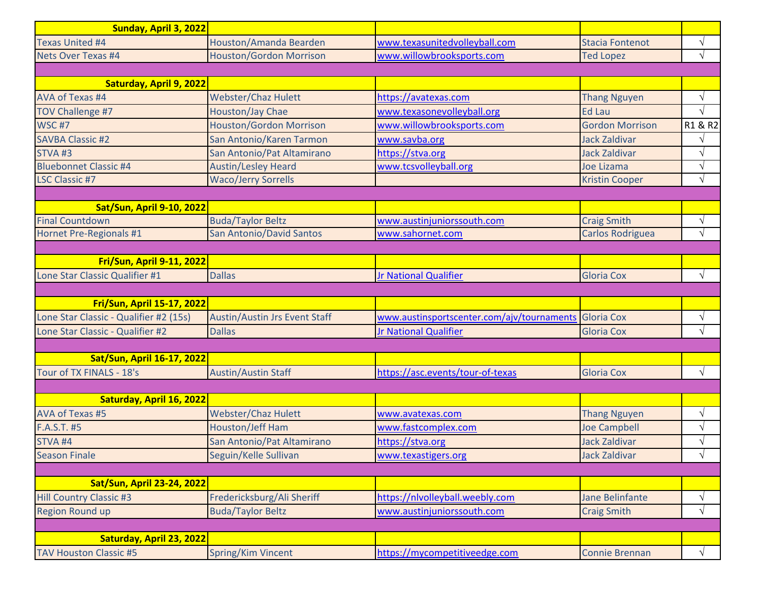| Sunday, April 3, 2022                  |                                      |                                                       |                         |               |
|----------------------------------------|--------------------------------------|-------------------------------------------------------|-------------------------|---------------|
| <b>Texas United #4</b>                 | Houston/Amanda Bearden               | www.texasunitedvolleyball.com                         | <b>Stacia Fontenot</b>  | $\sqrt{}$     |
| Nets Over Texas #4                     | <b>Houston/Gordon Morrison</b>       | www.willowbrooksports.com                             | <b>Ted Lopez</b>        | $\sqrt{ }$    |
|                                        |                                      |                                                       |                         |               |
| Saturday, April 9, 2022                |                                      |                                                       |                         |               |
| AVA of Texas #4                        | <b>Webster/Chaz Hulett</b>           | https://avatexas.com                                  | <b>Thang Nguyen</b>     | $\sqrt{}$     |
| <b>TOV Challenge #7</b>                | Houston/Jay Chae                     | www.texasonevolleyball.org                            | <b>Ed Lau</b>           | $\sqrt{ }$    |
| <b>WSC #7</b>                          | <b>Houston/Gordon Morrison</b>       | www.willowbrooksports.com                             | <b>Gordon Morrison</b>  | R1 & R2       |
| <b>SAVBA Classic #2</b>                | San Antonio/Karen Tarmon             | www.savba.org                                         | <b>Jack Zaldivar</b>    |               |
| STVA <sub>#3</sub>                     | San Antonio/Pat Altamirano           | https://stva.org                                      | <b>Jack Zaldivar</b>    | $\sqrt{}$     |
| <b>Bluebonnet Classic #4</b>           | <b>Austin/Lesley Heard</b>           | www.tcsvolleyball.org                                 | Joe Lizama              | $\sqrt{}$     |
| <b>LSC Classic #7</b>                  | <b>Waco/Jerry Sorrells</b>           |                                                       | <b>Kristin Cooper</b>   | $\sqrt{ }$    |
|                                        |                                      |                                                       |                         |               |
| <b>Sat/Sun, April 9-10, 2022</b>       |                                      |                                                       |                         |               |
| <b>Final Countdown</b>                 | <b>Buda/Taylor Beltz</b>             | www.austinjuniorssouth.com                            | <b>Craig Smith</b>      | $\sqrt{}$     |
| Hornet Pre-Regionals #1                | <b>San Antonio/David Santos</b>      | www.sahornet.com                                      | <b>Carlos Rodriguea</b> | $\sqrt{ }$    |
|                                        |                                      |                                                       |                         |               |
| <b>Fri/Sun, April 9-11, 2022</b>       |                                      |                                                       |                         |               |
| Lone Star Classic Qualifier #1         | <b>Dallas</b>                        | Jr National Qualifier                                 | <b>Gloria Cox</b>       | $\sqrt{ }$    |
|                                        |                                      |                                                       |                         |               |
| <b>Fri/Sun, April 15-17, 2022</b>      |                                      |                                                       |                         |               |
| Lone Star Classic - Qualifier #2 (15s) | <b>Austin/Austin Jrs Event Staff</b> | www.austinsportscenter.com/ajv/tournaments Gloria Cox |                         | $\sqrt{}$     |
| Lone Star Classic - Qualifier #2       | <b>Dallas</b>                        | <b>Jr National Qualifier</b>                          | <b>Gloria Cox</b>       | $\sqrt{ }$    |
|                                        |                                      |                                                       |                         |               |
| <b>Sat/Sun, April 16-17, 2022</b>      |                                      |                                                       |                         |               |
| Tour of TX FINALS - 18's               | <b>Austin/Austin Staff</b>           | https://asc.events/tour-of-texas                      | <b>Gloria Cox</b>       | $\sqrt{ }$    |
|                                        |                                      |                                                       |                         |               |
| Saturday, April 16, 2022               |                                      |                                                       |                         |               |
| AVA of Texas #5                        | <b>Webster/Chaz Hulett</b>           | www.avatexas.com                                      | <b>Thang Nguyen</b>     | $\sqrt{}$     |
| F.A.S.T. #5                            | <b>Houston/Jeff Ham</b>              | www.fastcomplex.com                                   | <b>Joe Campbell</b>     | $\sqrt{}$     |
| <b>STVA #4</b>                         | San Antonio/Pat Altamirano           | https://stva.org                                      | <b>Jack Zaldivar</b>    | $\mathcal{L}$ |
| <b>Season Finale</b>                   | Seguin/Kelle Sullivan                | www.texastigers.org                                   | <b>Jack Zaldivar</b>    | $\sqrt{}$     |
|                                        |                                      |                                                       |                         |               |
| <b>Sat/Sun, April 23-24, 2022</b>      |                                      |                                                       |                         |               |
| <b>Hill Country Classic #3</b>         | Fredericksburg/Ali Sheriff           | https://nlvolleyball.weebly.com                       | Jane Belinfante         | $\sqrt{}$     |
| <b>Region Round up</b>                 | <b>Buda/Taylor Beltz</b>             | www.austinjuniorssouth.com                            | <b>Craig Smith</b>      | $\sqrt{}$     |
|                                        |                                      |                                                       |                         |               |
| Saturday, April 23, 2022               |                                      |                                                       |                         |               |
| <b>TAV Houston Classic #5</b>          | <b>Spring/Kim Vincent</b>            | https://mycompetitiveedge.com                         | <b>Connie Brennan</b>   | $\sqrt{}$     |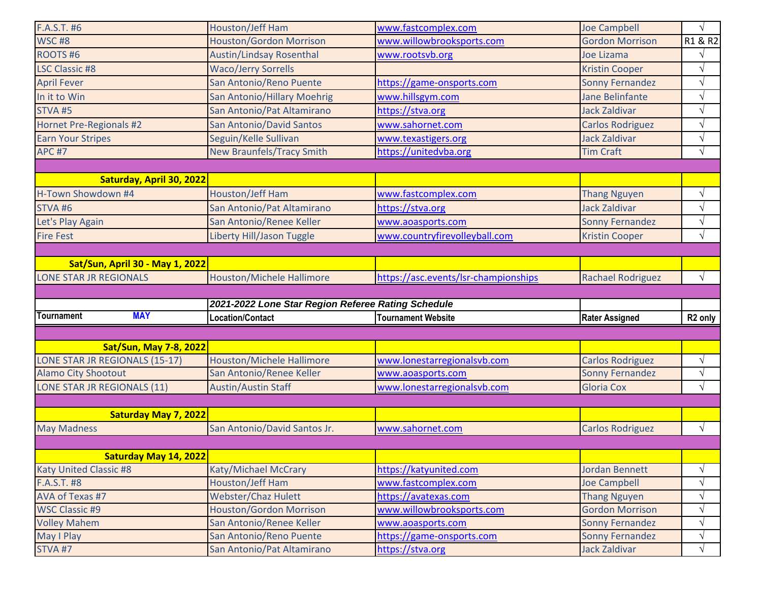| F.A.S.T. #6                    |                                 | Houston/Jeff Ham                                      | www.fastcomplex.com                           | <b>Joe Campbell</b>                            | $\sqrt{}$              |
|--------------------------------|---------------------------------|-------------------------------------------------------|-----------------------------------------------|------------------------------------------------|------------------------|
| WSC#8                          |                                 | <b>Houston/Gordon Morrison</b>                        | www.willowbrooksports.com                     | <b>Gordon Morrison</b>                         | R1 & R2                |
| ROOTS#6                        |                                 | <b>Austin/Lindsay Rosenthal</b>                       | www.rootsvb.org                               | Joe Lizama                                     |                        |
| <b>LSC Classic #8</b>          |                                 | <b>Waco/Jerry Sorrells</b>                            |                                               | <b>Kristin Cooper</b>                          | $\sqrt{}$              |
| <b>April Fever</b>             |                                 | San Antonio/Reno Puente                               | https://game-onsports.com                     | <b>Sonny Fernandez</b>                         | $\sqrt{}$              |
| In it to Win                   |                                 | San Antonio/Hillary Moehrig                           | www.hillsgym.com                              | <b>Jane Belinfante</b>                         | $\sqrt{}$              |
| <b>STVA #5</b>                 |                                 | San Antonio/Pat Altamirano                            | https://stva.org                              | <b>Jack Zaldivar</b>                           | $\sqrt{}$              |
| Hornet Pre-Regionals #2        |                                 | <b>San Antonio/David Santos</b>                       | www.sahornet.com                              | <b>Carlos Rodriguez</b>                        | $\sqrt{}$              |
| <b>Earn Your Stripes</b>       |                                 | Seguin/Kelle Sullivan                                 | www.texastigers.org                           | <b>Jack Zaldivar</b>                           | $\sqrt{}$              |
| <b>APC #7</b>                  |                                 | <b>New Braunfels/Tracy Smith</b>                      | https://unitedvba.org                         | <b>Tim Craft</b>                               | $\sqrt{}$              |
|                                |                                 |                                                       |                                               |                                                |                        |
|                                | Saturday, April 30, 2022        |                                                       |                                               |                                                |                        |
| H-Town Showdown #4             |                                 | Houston/Jeff Ham                                      | www.fastcomplex.com                           | <b>Thang Nguyen</b>                            | $\sqrt{}$              |
| <b>STVA#6</b>                  |                                 | San Antonio/Pat Altamirano                            | https://stva.org                              | <b>Jack Zaldivar</b>                           | $\sqrt{}$              |
| Let's Play Again               |                                 | San Antonio/Renee Keller                              | www.aoasports.com                             | <b>Sonny Fernandez</b>                         | $\sqrt{}$              |
| <b>Fire Fest</b>               |                                 | Liberty Hill/Jason Tuggle                             | www.countryfirevolleyball.com                 | <b>Kristin Cooper</b>                          | $\sqrt{}$              |
|                                |                                 |                                                       |                                               |                                                |                        |
|                                | Sat/Sun, April 30 - May 1, 2022 |                                                       |                                               |                                                |                        |
| <b>LONE STAR JR REGIONALS</b>  |                                 | <b>Houston/Michele Hallimore</b>                      | https://asc.events/lsr-championships          | <b>Rachael Rodriguez</b>                       | $\sqrt{ }$             |
|                                |                                 |                                                       |                                               |                                                |                        |
|                                |                                 |                                                       |                                               |                                                |                        |
|                                |                                 | 2021-2022 Lone Star Region Referee Rating Schedule    |                                               |                                                |                        |
| Tournament                     | <b>MAY</b>                      | Location/Contact                                      | <b>Tournament Website</b>                     | <b>Rater Assigned</b>                          | R <sub>2</sub> only    |
|                                |                                 |                                                       |                                               |                                                |                        |
|                                | <b>Sat/Sun, May 7-8, 2022</b>   |                                                       |                                               |                                                |                        |
| LONE STAR JR REGIONALS (15-17) |                                 | <b>Houston/Michele Hallimore</b>                      | www.lonestarregionalsvb.com                   | <b>Carlos Rodriguez</b>                        | $\sqrt{}$              |
| <b>Alamo City Shootout</b>     |                                 | San Antonio/Renee Keller                              | www.aoasports.com                             | <b>Sonny Fernandez</b>                         | $\sqrt{}$              |
| LONE STAR JR REGIONALS (11)    |                                 | <b>Austin/Austin Staff</b>                            | www.lonestarregionalsvb.com                   | <b>Gloria Cox</b>                              | $\sqrt{}$              |
|                                |                                 |                                                       |                                               |                                                |                        |
|                                | <b>Saturday May 7, 2022</b>     |                                                       |                                               |                                                |                        |
| <b>May Madness</b>             |                                 | San Antonio/David Santos Jr.                          | www.sahornet.com                              | <b>Carlos Rodriguez</b>                        | $\sqrt{ }$             |
|                                |                                 |                                                       |                                               |                                                |                        |
|                                | Saturday May 14, 2022           |                                                       |                                               |                                                |                        |
| <b>Katy United Classic #8</b>  |                                 | Katy/Michael McCrary                                  | https://katyunited.com                        | <b>Jordan Bennett</b>                          | $\sqrt{}$              |
| F.A.S.T. #8                    |                                 | Houston/Jeff Ham                                      | www.fastcomplex.com                           | <b>Joe Campbell</b>                            | $\sqrt{}$              |
| AVA of Texas #7                |                                 | <b>Webster/Chaz Hulett</b>                            | https://avatexas.com                          | <b>Thang Nguyen</b>                            | $\sqrt{}$              |
| <b>WSC Classic #9</b>          |                                 | Houston/Gordon Morrison                               | www.willowbrooksports.com                     | <b>Gordon Morrison</b>                         | $\sqrt{}$              |
| <b>Volley Mahem</b>            |                                 | San Antonio/Renee Keller                              | www.aoasports.com                             | <b>Sonny Fernandez</b>                         | $\sqrt{}$              |
| May I Play<br><b>STVA #7</b>   |                                 | San Antonio/Reno Puente<br>San Antonio/Pat Altamirano | https://game-onsports.com<br>https://stva.org | <b>Sonny Fernandez</b><br><b>Jack Zaldivar</b> | $\sqrt{}$<br>$\sqrt{}$ |